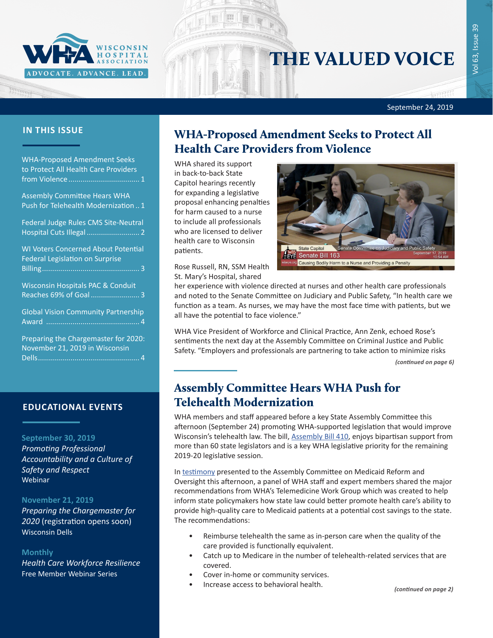

# THE VALUED VOICE

September 24, 2019

| <b>WHA-Proposed Amendment Seeks</b><br>to Protect All Health Care Providers          |
|--------------------------------------------------------------------------------------|
| <b>Assembly Committee Hears WHA</b><br>Push for Telehealth Modernization  1          |
| Federal Judge Rules CMS Site-Neutral<br>Hospital Cuts Illegal  2                     |
| <b>WI Voters Concerned About Potential</b><br><b>Federal Legislation on Surprise</b> |
| <b>Wisconsin Hospitals PAC &amp; Conduit</b><br>Reaches 69% of Goal 3                |
| <b>Global Vision Community Partnership</b>                                           |
| Preparing the Chargemaster for 2020:<br>November 21, 2019 in Wisconsin               |

#### **EDUCATIONAL EVENTS**

#### **September 30, 2019**

*[Promoting Professional](https://www.whareg4.org/IHAState0930/)  [Accountability and a Culture of](https://www.whareg4.org/IHAState0930/)  [Safety and Respect](https://www.whareg4.org/IHAState0930/)* Webinar

#### **November 21, 2019**

*Preparing the Chargemaster for 2020* (registration opens soon) Wisconsin Dells

#### **Monthly**

*[Health Care Workforce Resilience](http://www.whareg4.org/Workforce Resilience)* Free Member Webinar Series

### **IN THIS ISSUE** WHA-Proposed Amendment Seeks to Protect All Health Care Providers from Violence

WHA shared its support in back-to-back State Capitol hearings recently for expanding a legislative proposal enhancing penalties for harm caused to a nurse to include all professionals who are licensed to deliver health care to Wisconsin patients.



Rose Russell, RN, SSM Health St. Mary's Hospital, shared

her experience with violence directed at nurses and other health care professionals and noted to the Senate Committee on Judiciary and Public Safety, "In health care we function as a team. As nurses, we may have the most face time with patients, but we all have the potential to face violence."

WHA Vice President of Workforce and Clinical Practice, Ann Zenk, echoed Rose's sentiments the next day at the Assembly Committee on Criminal Justice and Public Safety. "Employers and professionals are partnering to take action to minimize risks

*(continued on page 6)*

### Assembly Committee Hears WHA Push for Telehealth Modernization

WHA members and staff appeared before a key State Assembly Committee this afternoon (September 24) promoting WHA-supported legislation that would improve Wisconsin's telehealth law. The bill, [Assembly Bill 410,](https://docs.legis.wisconsin.gov/2019/proposals/ab410) enjoys bipartisan support from more than 60 state legislators and is a key WHA legislative priority for the remaining 2019-20 legislative session.

In [testimony](https://www.wha.org/WisconsinHospitalAssociation/media/WHACommon/CommentLetters/2019WHATestimony-Supports-AB410-Assembly-Medicaid-Reform-Committee09-24.pdf) presented to the Assembly Committee on Medicaid Reform and Oversight this afternoon, a panel of WHA staff and expert members shared the major recommendations from WHA's Telemedicine Work Group which was created to help inform state policymakers how state law could better promote health care's ability to provide high-quality care to Medicaid patients at a potential cost savings to the state. The recommendations:

- Reimburse telehealth the same as in-person care when the quality of the care provided is functionally equivalent.
- Catch up to Medicare in the number of telehealth-related services that are covered.
- Cover in-home or community services.
- Increase access to behavioral health.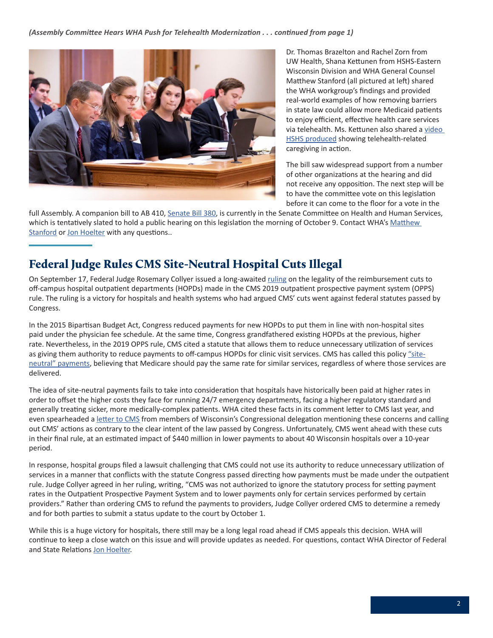<span id="page-1-0"></span>

Dr. Thomas Brazelton and Rachel Zorn from UW Health, Shana Kettunen from HSHS-Eastern Wisconsin Division and WHA General Counsel Matthew Stanford (all pictured at left) shared the WHA workgroup's findings and provided real-world examples of how removing barriers in state law could allow more Medicaid patients to enjoy efficient, effective health care services via telehealth. Ms. Kettunen also shared a [video](https://www.youtube.com/watch?v=6_rHHOqFFmc&feature=youtu.be)  [HSHS produced](https://www.youtube.com/watch?v=6_rHHOqFFmc&feature=youtu.be) showing telehealth-related caregiving in action.

The bill saw widespread support from a number of other organizations at the hearing and did not receive any opposition. The next step will be to have the committee vote on this legislation before it can come to the floor for a vote in the

full Assembly. A companion bill to AB 410, [Senate Bill 380](https://docs.legis.wisconsin.gov/2019/proposals/sb380), is currently in the Senate Committee on Health and Human Services, which is tentatively slated to hold a public hearing on this legislation the morning of October 9. Contact WHA's [Matthew](mailto:mstanford@wha.org)  [Stanford](mailto:mstanford@wha.org) or [Jon Hoelter](mailto:jhoelter@wha.org) with any questions..

### Federal Judge Rules CMS Site-Neutral Hospital Cuts Illegal

On September 17, Federal Judge Rosemary Collyer issued a long-awaited [ruling](https://ecf.dcd.uscourts.gov/cgi-bin/show_public_doc?2018cv2841-31) on the legality of the reimbursement cuts to off-campus hospital outpatient departments (HOPDs) made in the CMS 2019 outpatient prospective payment system (OPPS) rule. The ruling is a victory for hospitals and health systems who had argued CMS' cuts went against federal statutes passed by Congress.

In the 2015 Bipartisan Budget Act, Congress reduced payments for new HOPDs to put them in line with non-hospital sites paid under the physician fee schedule. At the same time, Congress grandfathered existing HOPDs at the previous, higher rate. Nevertheless, in the 2019 OPPS rule, CMS cited a statute that allows them to reduce unnecessary utilization of services as giving them authority to reduce payments to off-campus HOPDs for clinic visit services. CMS has called this policy ["site](https://www.wha.org/Home/Common-PDFs/2018-Issue-Paper-Medicare-Site-Neutral-Proposals)[neutral" payments](https://www.wha.org/Home/Common-PDFs/2018-Issue-Paper-Medicare-Site-Neutral-Proposals), believing that Medicare should pay the same rate for similar services, regardless of where those services are delivered.

The idea of site-neutral payments fails to take into consideration that hospitals have historically been paid at higher rates in order to offset the higher costs they face for running 24/7 emergency departments, facing a higher regulatory standard and generally treating sicker, more medically-complex patients. WHA cited these facts in its comment letter to CMS last year, and even spearheaded a [letter to CMS](https://www.wha.org/WisconsinHospitalAssociation/media/WHACommon/CommentLetters/2018Letter-to-CMS-site-neutral9-28.PDF) from members of Wisconsin's Congressional delegation mentioning these concerns and calling out CMS' actions as contrary to the clear intent of the law passed by Congress. Unfortunately, CMS went ahead with these cuts in their final rule, at an estimated impact of \$440 million in lower payments to about 40 Wisconsin hospitals over a 10-year period.

In response, hospital groups filed a lawsuit challenging that CMS could not use its authority to reduce unnecessary utilization of services in a manner that conflicts with the statute Congress passed directing how payments must be made under the outpatient rule. Judge Collyer agreed in her ruling, writing, "CMS was not authorized to ignore the statutory process for setting payment rates in the Outpatient Prospective Payment System and to lower payments only for certain services performed by certain providers." Rather than ordering CMS to refund the payments to providers, Judge Collyer ordered CMS to determine a remedy and for both parties to submit a status update to the court by October 1.

While this is a huge victory for hospitals, there still may be a long legal road ahead if CMS appeals this decision. WHA will continue to keep a close watch on this issue and will provide updates as needed. For questions, contact WHA Director of Federal and State Relations [Jon Hoelter](mailto:jhoelter@wha.org).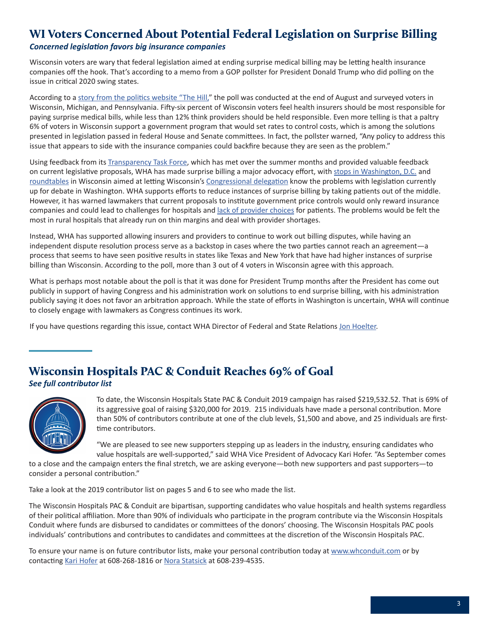### <span id="page-2-0"></span>WI Voters Concerned About Potential Federal Legislation on Surprise Billing

### *Concerned legislation favors big insurance companies*

Wisconsin voters are wary that federal legislation aimed at ending surprise medical billing may be letting health insurance companies off the hook. That's according to a memo from a GOP pollster for President Donald Trump who did polling on the issue in critical 2020 swing states.

According to a [story from the politics website "The Hill,](https://thehill.com/homenews/campaign/461780-exclusive-swing-state-voters-oppose-surprise-medical-bill-legislation-trump)" the poll was conducted at the end of August and surveyed voters in Wisconsin, Michigan, and Pennsylvania. Fifty-six percent of Wisconsin voters feel health insurers should be most responsible for paying surprise medical bills, while less than 12% think providers should be held responsible. Even more telling is that a paltry 6% of voters in Wisconsin support a government program that would set rates to control costs, which is among the solutions presented in legislation passed in federal House and Senate committees. In fact, the pollster warned, "Any policy to address this issue that appears to side with the insurance companies could backfire because they are seen as the problem."

Using feedback from its [Transparency Task Force](https://www.wha.org/WisconsinHospitalAssociation/media/WHANewsLetters/2019PDF/WHA-Newsletter-09-03-2019.pdf#page=1), which has met over the summer months and provided valuable feedback on current legislative proposals, WHA has made surprise billing a major advocacy effort, with [stops in Washington, D.C.](https://www.wha.org/WisconsinHospitalAssociation/media/WHANewsLetters/2019PDF/WHA-Newsletter-07-23-2019.pdf#page=1) and [roundtables](https://www.wha.org/WisconsinHospitalAssociation/media/WHANewsLetters/2019PDF/WHA-Newsletter-09-03-2019.pdf#page=3) in Wisconsin aimed at letting Wisconsin's [Congressional delegation](https://www.wha.org/WisconsinHospitalAssociation/media/WHANewsLetters/2019PDF/WHA-Newsletter-09-10-2019.pdf#page=1) know the problems with legislation currently up for debate in Washington. WHA supports efforts to reduce instances of surprise billing by taking patients out of the middle. However, it has warned lawmakers that current proposals to institute government price controls would only reward insurance companies and could lead to challenges for hospitals and [lack of provider choices](https://www.wha.org/WisconsinHospitalAssociation/media/WHACommon/Government%20Relations/pdf/WHAIssuePaperonTransparency-July2019.pdf) for patients. The problems would be felt the most in rural hospitals that already run on thin margins and deal with provider shortages.

Instead, WHA has supported allowing insurers and providers to continue to work out billing disputes, while having an independent dispute resolution process serve as a backstop in cases where the two parties cannot reach an agreement—a process that seems to have seen positive results in states like Texas and New York that have had higher instances of surprise billing than Wisconsin. According to the poll, more than 3 out of 4 voters in Wisconsin agree with this approach.

What is perhaps most notable about the poll is that it was done for President Trump months after the President has come out publicly in support of having Congress and his administration work on solutions to end surprise billing, with his administration publicly saying it does not favor an arbitration approach. While the state of efforts in Washington is uncertain, WHA will continue to closely engage with lawmakers as Congress continues its work.

If you have questions regarding this issue, contact WHA Director of Federal and State Relations [Jon Hoelter](mailto:jhoelter@wha.org).

## Wisconsin Hospitals PAC & Conduit Reaches 69% of Goal

*See full contributor list* 



To date, the Wisconsin Hospitals State PAC & Conduit 2019 campaign has raised \$219,532.52. That is 69% of its aggressive goal of raising \$320,000 for 2019. 215 individuals have made a personal contribution. More than 50% of contributors contribute at one of the club levels, \$1,500 and above, and 25 individuals are firsttime contributors.

"We are pleased to see new supporters stepping up as leaders in the industry, ensuring candidates who value hospitals are well-supported," said WHA Vice President of Advocacy Kari Hofer. "As September comes

to a close and the campaign enters the final stretch, we are asking everyone—both new supporters and past supporters—to consider a personal contribution."

Take a look at the 2019 contributor list on pages 5 and 6 to see who made the list.

The Wisconsin Hospitals PAC & Conduit are bipartisan, supporting candidates who value hospitals and health systems regardless of their political affiliation. More than 90% of individuals who participate in the program contribute via the Wisconsin Hospitals Conduit where funds are disbursed to candidates or committees of the donors' choosing. The Wisconsin Hospitals PAC pools individuals' contributions and contributes to candidates and committees at the discretion of the Wisconsin Hospitals PAC.

To ensure your name is on future contributor lists, make your personal contribution today at [www.whconduit.com](http://www.whconduit.com) or by contacting [Kari Hofer](mailto:khofer@wha.org) at 608-268-1816 or [Nora Statsick](mailto:nstatsick@wha.org) at 608-239-4535.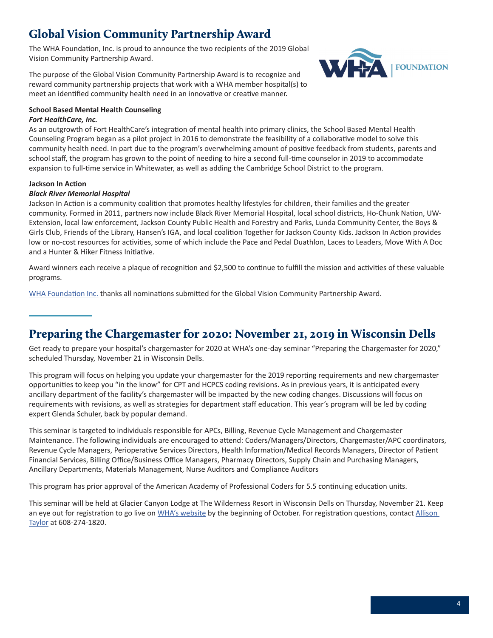### <span id="page-3-0"></span>Global Vision Community Partnership Award

The WHA Foundation, Inc. is proud to announce the two recipients of the 2019 Global Vision Community Partnership Award.

The purpose of the Global Vision Community Partnership Award is to recognize and reward community partnership projects that work with a WHA member hospital(s) to meet an identified community health need in an innovative or creative manner.



#### **School Based Mental Health Counseling**

#### *Fort HealthCare, Inc.*

As an outgrowth of Fort HealthCare's integration of mental health into primary clinics, the School Based Mental Health Counseling Program began as a pilot project in 2016 to demonstrate the feasibility of a collaborative model to solve this community health need. In part due to the program's overwhelming amount of positive feedback from students, parents and school staff, the program has grown to the point of needing to hire a second full-time counselor in 2019 to accommodate expansion to full-time service in Whitewater, as well as adding the Cambridge School District to the program.

#### **Jackson In Action**

#### *Black River Memorial Hospital*

Jackson In Action is a community coalition that promotes healthy lifestyles for children, their families and the greater community. Formed in 2011, partners now include Black River Memorial Hospital, local school districts, Ho-Chunk Nation, UW-Extension, local law enforcement, Jackson County Public Health and Forestry and Parks, Lunda Community Center, the Boys & Girls Club, Friends of the Library, Hansen's IGA, and local coalition Together for Jackson County Kids. Jackson In Action provides low or no-cost resources for activities, some of which include the Pace and Pedal Duathlon, Laces to Leaders, Move With A Doc and a Hunter & Hiker Fitness Initiative.

Award winners each receive a plaque of recognition and \$2,500 to continue to fulfill the mission and activities of these valuable programs.

[WHA Foundation Inc.](https://www.wha.org/AboutWHA/WHA-Foundation) thanks all nominations submitted for the Global Vision Community Partnership Award.

### Preparing the Chargemaster for 2020: November 21, 2019 in Wisconsin Dells

Get ready to prepare your hospital's chargemaster for 2020 at WHA's one-day seminar "Preparing the Chargemaster for 2020," scheduled Thursday, November 21 in Wisconsin Dells.

This program will focus on helping you update your chargemaster for the 2019 reporting requirements and new chargemaster opportunities to keep you "in the know" for CPT and HCPCS coding revisions. As in previous years, it is anticipated every ancillary department of the facility's chargemaster will be impacted by the new coding changes. Discussions will focus on requirements with revisions, as well as strategies for department staff education. This year's program will be led by coding expert Glenda Schuler, back by popular demand.

This seminar is targeted to individuals responsible for APCs, Billing, Revenue Cycle Management and Chargemaster Maintenance. The following individuals are encouraged to attend: Coders/Managers/Directors, Chargemaster/APC coordinators, Revenue Cycle Managers, Perioperative Services Directors, Health Information/Medical Records Managers, Director of Patient Financial Services, Billing Office/Business Office Managers, Pharmacy Directors, Supply Chain and Purchasing Managers, Ancillary Departments, Materials Management, Nurse Auditors and Compliance Auditors

This program has prior approval of the American Academy of Professional Coders for 5.5 continuing education units.

This seminar will be held at Glacier Canyon Lodge at The Wilderness Resort in Wisconsin Dells on Thursday, November 21. Keep an eye out for registration to go live on [WHA's website](https://www.wha.org) by the beginning of October. For registration questions, contact Allison [Taylor](mailto:ataylor@wha.org) at 608-274-1820.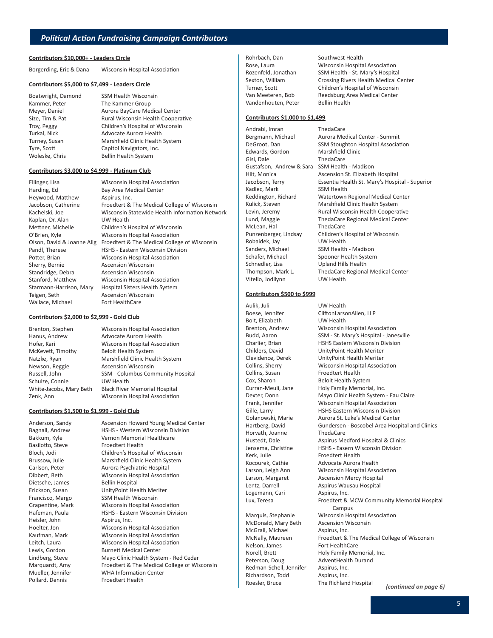#### **Contributors \$10,000+ - Leaders Circle**

Borgerding, Eric & Dana Wisconsin Hospital Association

#### **Contributors \$5,000 to \$7,499 - Leaders Circle**

Boatwright, Damond SSM Health Wisconsin Kammer, Peter The Kammer Group Meyer, Daniel **Aurora BayCare Medical Center** Size, Tim & Pat Rural Wisconsin Health Cooperative Troy, Peggy Children's Hospital of Wisconsin Turkal, Nick **Advocate Aurora Health** Turney, Susan Marshfield Clinic Health System Tyre, Scott Capitol Navigators, Inc. Woleske, Chris Bellin Health System

#### **Contributors \$3,000 to \$4,999 - Platinum Club**

| Ellinger, Lisa             | <b>Wisconsin Hospital Association</b>          |
|----------------------------|------------------------------------------------|
| Harding, Ed                | Bay Area Medical Center                        |
| Heywood, Matthew           | Aspirus, Inc.                                  |
| Jacobson, Catherine        | Froedtert & The Medical College of Wisconsin   |
| Kachelski, Joe             | Wisconsin Statewide Health Information Network |
| Kaplan, Dr. Alan           | UW Health                                      |
| Mettner, Michelle          | Children's Hospital of Wisconsin               |
| O'Brien, Kyle              | <b>Wisconsin Hospital Association</b>          |
| Olson, David & Joanne Alig | Froedtert & The Medical College of Wisconsin   |
| Pandl, Therese             | <b>HSHS - Eastern Wisconsin Division</b>       |
| Potter, Brian              | <b>Wisconsin Hospital Association</b>          |
| Sherry, Bernie             | <b>Ascension Wisconsin</b>                     |
| Standridge, Debra          | Ascension Wisconsin                            |
| Stanford, Matthew          | Wisconsin Hospital Association                 |
| Starmann-Harrison, Mary    | <b>Hospital Sisters Health System</b>          |
| Teigen, Seth               | <b>Ascension Wisconsin</b>                     |
| Wallace, Michael           | Fort HealthCare                                |
|                            |                                                |

#### **Contributors \$2,000 to \$2,999 - Gold Club**

Brenton, Stephen Wisconsin Hospital Association Hanus, Andrew Advocate Aurora Health Hofer, Kari Wisconsin Hospital Association McKevett, Timothy Beloit Health System Natzke, Ryan Marshfield Clinic Health System Newson, Reggie Ascension Wisconsin Russell, John SSM - Columbus Community Hospital Schulze, Connie UW Health White-Jacobs, Mary Beth Black River Memorial Hospital Zenk, Ann Wisconsin Hospital Association

#### **Contributors \$1,500 to \$1,999 - Gold Club**

Basilotto, Steve Froedtert Health Dietsche, James Bellin Hospital Heisler, John Aspirus, Inc. Pollard, Dennis Froedtert Health

Anderson, Sandy Ascension Howard Young Medical Center Bagnall, Andrew HSHS - Western Wisconsin Division Bakkum, Kyle Vernon Memorial Healthcare Bloch, Jodi Children's Hospital of Wisconsin Brussow, Julie Marshfield Clinic Health System Carlson, Peter **Aurora Psychiatric Hospital** Dibbert, Beth Wisconsin Hospital Association Erickson, Susan UnityPoint Health Meriter Francisco, Margo SSM Health Wisconsin Grapentine, Mark Wisconsin Hospital Association Hafeman, Paula **HSHS** - Eastern Wisconsin Division Hoelter, Jon Wisconsin Hospital Association Kaufman, Mark Wisconsin Hospital Association Leitch, Laura Wisconsin Hospital Association Lewis, Gordon Burnett Medical Center Lindberg, Steve Mayo Clinic Health System - Red Cedar Marquardt, Amy Froedtert & The Medical College of Wisconsin Mueller, Jennifer WHA Information Center

Rohrbach, Dan Southwest Health Vandenhouten, Peter Bellin Health

### Rose, Laura Wisconsin Hospital Association Rozenfeld, Jonathan SSM Health - St. Mary's Hospital Sexton, William Crossing Rivers Health Medical Center Turner, Scott Children's Hospital of Wisconsin Van Meeteren, Bob Reedsburg Area Medical Center

#### **Contributors \$1,000 to \$1,499**

Andrabi, Imran ThedaCare Edwards, Gordon Marshfield Clinic Gisi, Dale ThedaCare Gustafson, Andrew & Sara SSM Health - Madison Kadlec, Mark SSM Health McLean, Hal ThedaCare Robaidek, Jay UW Health Sanders, Michael SSM Health - Madison Schafer, Michael Spooner Health System Schnedler, Lisa Upland Hills Health Vitello, Jodilynn UW Health

Bergmann, Michael Aurora Medical Center - Summit DeGroot, Dan SSM Stoughton Hospital Association Hilt, Monica Ascension St. Elizabeth Hospital Jacobson, Terry Essentia Health St. Mary's Hospital - Superior Keddington, Richard Watertown Regional Medical Center<br>Kulick, Steven Marshfield Clinic Health System Marshfield Clinic Health System Levin, Jeremy **Rural Wisconsin Health Cooperative** Lund, Maggie ThedaCare Regional Medical Center Punzenberger, Lindsay Children's Hospital of Wisconsin Thompson, Mark L. ThedaCare Regional Medical Center

#### **Contributors \$500 to \$999**

Aulik, Juli UW Health Bolt, Elizabeth UW Health Collins, Susan Froedtert Health Cox, Sharon Beloit Health System Horvath, Joanne ThedaCare Kerk, Julie Froedtert Health Logemann, Cari Aspirus, Inc.

McDonald, Mary Beth Ascension Wisconsin McGrail, Michael **Aspirus, Inc.** Nelson, James Fort HealthCare Peterson, Doug AdventHealth Durand Redman-Schell, Jennifer Aspirus, Inc. Richardson, Todd Aspirus, Inc.

Boese, Jennifer CliftonLarsonAllen, LLP Brenton, Andrew Wisconsin Hospital Association Budd, Aaron SSM - St. Mary's Hospital - Janesville Charlier, Brian HSHS Eastern Wisconsin Division Childers, David UnityPoint Health Meriter Clevidence, Derek UnityPoint Health Meriter Collins, Sherry Wisconsin Hospital Association Curran-Meuli, Jane Holy Family Memorial, Inc. Dexter, Donn Mayo Clinic Health System - Eau Claire Frank, Jennifer Wisconsin Hospital Association Gille, Larry **HSHS Eastern Wisconsin Division** Golanowski, Marie Aurora St. Luke's Medical Center Hartberg, David Gundersen - Boscobel Area Hospital and Clinics Hustedt, Dale **Aspirus Medford Hospital & Clinics** Jensema, Christine HSHS - Easern Wisconsin Division Kocourek, Cathie Advocate Aurora Health Larson, Leigh Ann Wisconsin Hospital Association Larson, Margaret Ascension Mercy Hospital Lentz, Darrell **Aspirus Wausau Hospital** Lux, Teresa **Froedtert & MCW Community Memorial Hospital** Campus Marquis, Stephanie Wisconsin Hospital Association McNally, Maureen Froedtert & The Medical College of Wisconsin Norell, Brett Holy Family Memorial, Inc.

Roesler, Bruce The Richland Hospital *(continued on page 6)*